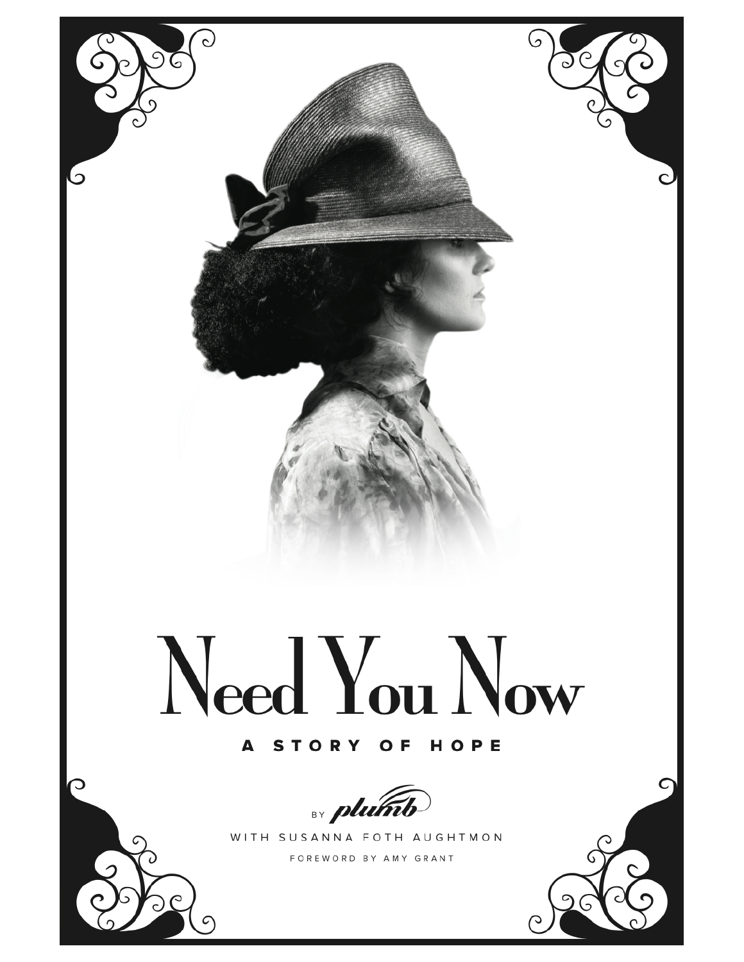

## A STORY OF HOPE



 $\mathbf C$ 

WITH SUSANNA FOTH AUGHTMON

FOREWORD BY AMY GRANT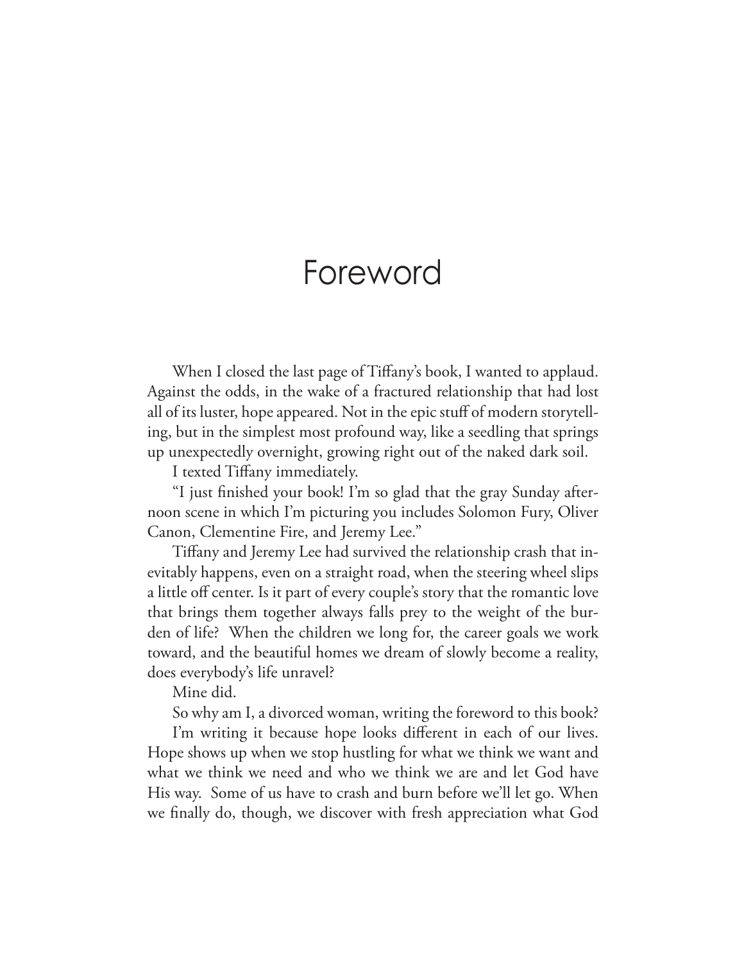## Foreword

When I closed the last page of Tifany's book, I wanted to applaud. Against the odds, in the wake of a fractured relationship that had lost all of its luster, hope appeared. Not in the epic stuf of modern storytelling, but in the simplest most profound way, like a seedling that springs up unexpectedly overnight, growing right out of the naked dark soil.

I texted Tifany immediately.

"I just fnished your book! I'm so glad that the gray Sunday afternoon scene in which I'm picturing you includes Solomon Fury, Oliver Canon, Clementine Fire, and Jeremy Lee."

Tifany and Jeremy Lee had survived the relationship crash that inevitably happens, even on a straight road, when the steering wheel slips a little off center. Is it part of every couple's story that the romantic love that brings them together always falls prey to the weight of the burden of life? When the children we long for, the career goals we work toward, and the beautiful homes we dream of slowly become a reality, does everybody's life unravel?

Mine did.

So why am I, a divorced woman, writing the foreword to this book?

I'm writing it because hope looks diferent in each of our lives. Hope shows up when we stop hustling for what we think we want and what we think we need and who we think we are and let God have His way. Some of us have to crash and burn before we'll let go. When we fnally do, though, we discover with fresh appreciation what God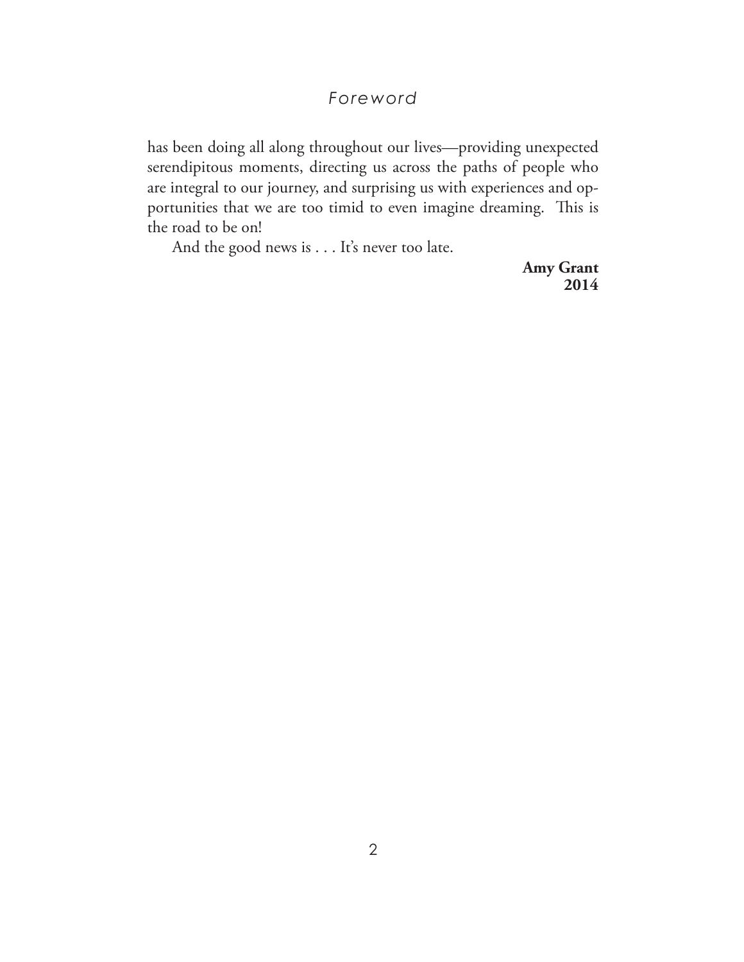### *Foreword*

has been doing all along throughout our lives—providing unexpected serendipitous moments, directing us across the paths of people who are integral to our journey, and surprising us with experiences and opportunities that we are too timid to even imagine dreaming. This is the road to be on!

And the good news is . . . It's never too late.

 **Amy Grant 2014**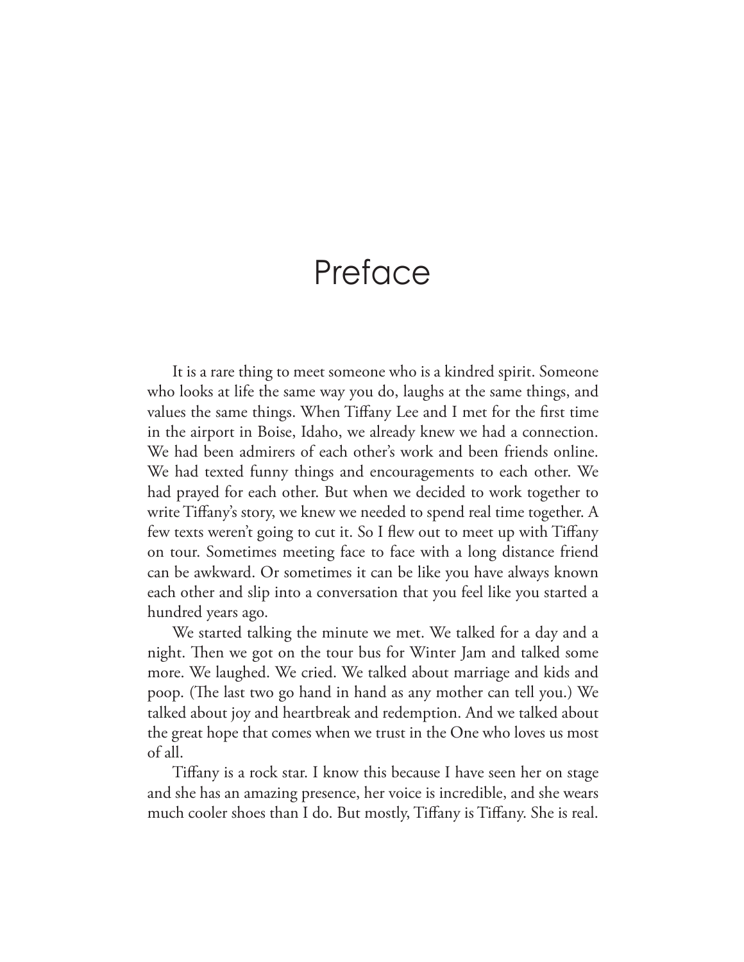# Preface

It is a rare thing to meet someone who is a kindred spirit. Someone who looks at life the same way you do, laughs at the same things, and values the same things. When Tifany Lee and I met for the frst time in the airport in Boise, Idaho, we already knew we had a connection. We had been admirers of each other's work and been friends online. We had texted funny things and encouragements to each other. We had prayed for each other. But when we decided to work together to write Tifany's story, we knew we needed to spend real time together. A few texts weren't going to cut it. So I few out to meet up with Tifany on tour. Sometimes meeting face to face with a long distance friend can be awkward. Or sometimes it can be like you have always known each other and slip into a conversation that you feel like you started a hundred years ago.

We started talking the minute we met. We talked for a day and a night. Then we got on the tour bus for Winter Jam and talked some more. We laughed. We cried. We talked about marriage and kids and poop. (The last two go hand in hand as any mother can tell you.) We talked about joy and heartbreak and redemption. And we talked about the great hope that comes when we trust in the One who loves us most of all.

Tifany is a rock star. I know this because I have seen her on stage and she has an amazing presence, her voice is incredible, and she wears much cooler shoes than I do. But mostly, Tiffany is Tiffany. She is real.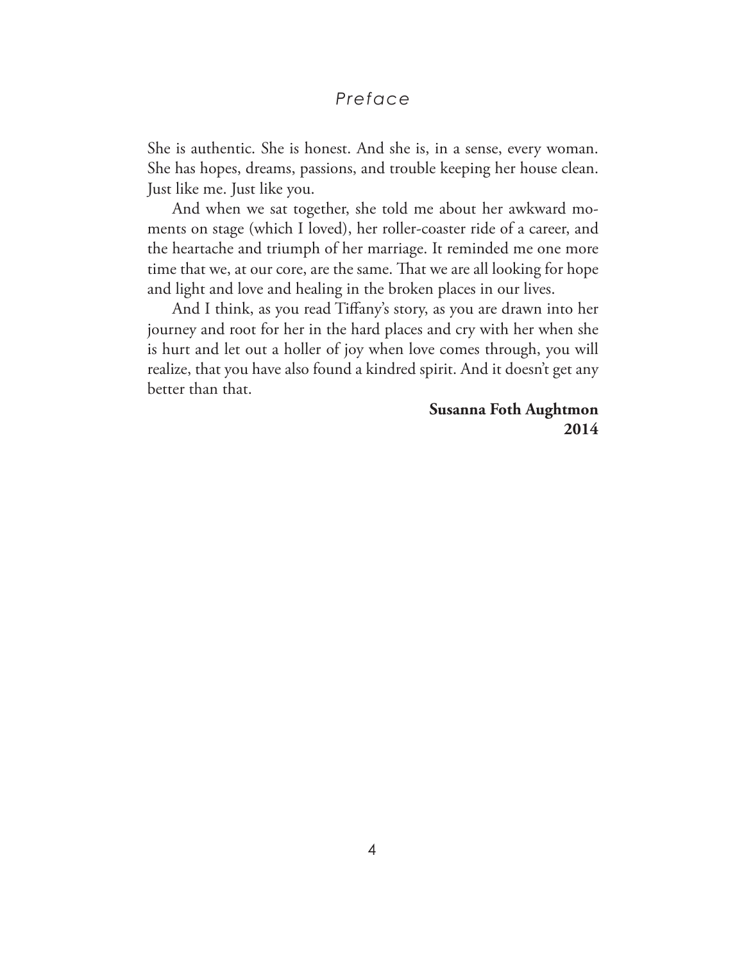#### *Preface*

She is authentic. She is honest. And she is, in a sense, every woman. She has hopes, dreams, passions, and trouble keeping her house clean. Just like me. Just like you.

And when we sat together, she told me about her awkward moments on stage (which I loved), her roller-coaster ride of a career, and the heartache and triumph of her marriage. It reminded me one more time that we, at our core, are the same. That we are all looking for hope and light and love and healing in the broken places in our lives.

And I think, as you read Tifany's story, as you are drawn into her journey and root for her in the hard places and cry with her when she is hurt and let out a holler of joy when love comes through, you will realize, that you have also found a kindred spirit. And it doesn't get any better than that.

> **Susanna Foth Aughtmon 2014**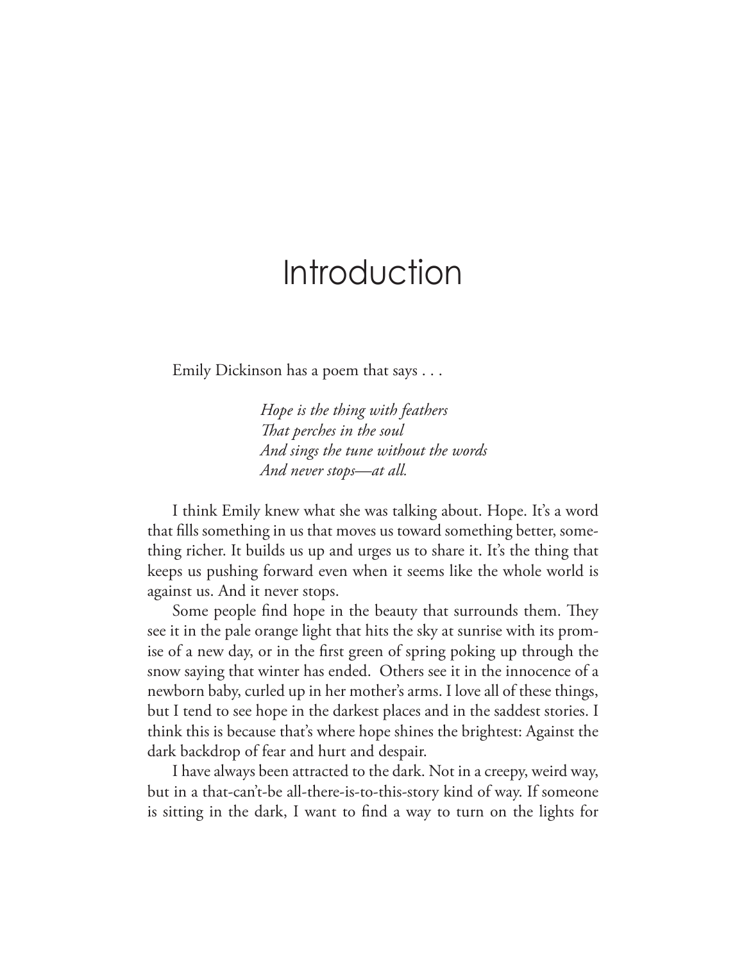# Introduction

Emily Dickinson has a poem that says . . .

*Hope is the thing with feathers Tat perches in the soul And sings the tune without the words And never stops—at all.*

I think Emily knew what she was talking about. Hope. It's a word that flls something in us that moves us toward something better, something richer. It builds us up and urges us to share it. It's the thing that keeps us pushing forward even when it seems like the whole world is against us. And it never stops.

Some people find hope in the beauty that surrounds them. They see it in the pale orange light that hits the sky at sunrise with its promise of a new day, or in the frst green of spring poking up through the snow saying that winter has ended. Others see it in the innocence of a newborn baby, curled up in her mother's arms. I love all of these things, but I tend to see hope in the darkest places and in the saddest stories. I think this is because that's where hope shines the brightest: Against the dark backdrop of fear and hurt and despair.

I have always been attracted to the dark. Not in a creepy, weird way, but in a that-can't-be all-there-is-to-this-story kind of way. If someone is sitting in the dark, I want to fnd a way to turn on the lights for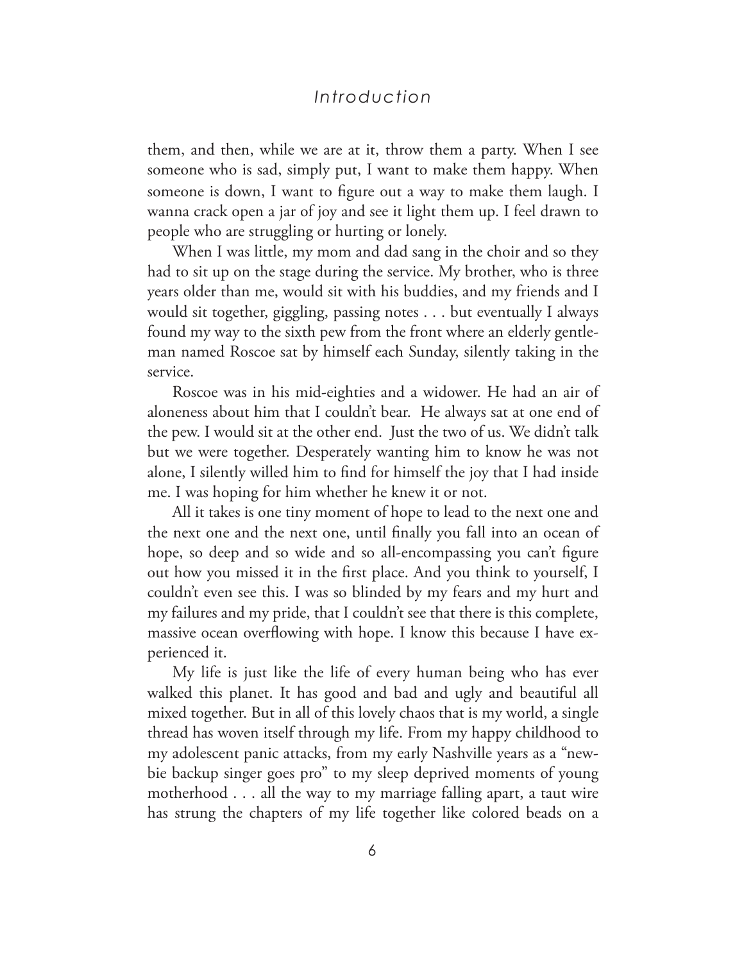#### *Introduction*

them, and then, while we are at it, throw them a party. When I see someone who is sad, simply put, I want to make them happy. When someone is down, I want to fgure out a way to make them laugh. I wanna crack open a jar of joy and see it light them up. I feel drawn to people who are struggling or hurting or lonely.

When I was little, my mom and dad sang in the choir and so they had to sit up on the stage during the service. My brother, who is three years older than me, would sit with his buddies, and my friends and I would sit together, giggling, passing notes . . . but eventually I always found my way to the sixth pew from the front where an elderly gentleman named Roscoe sat by himself each Sunday, silently taking in the service.

Roscoe was in his mid-eighties and a widower. He had an air of aloneness about him that I couldn't bear. He always sat at one end of the pew. I would sit at the other end. Just the two of us. We didn't talk but we were together. Desperately wanting him to know he was not alone, I silently willed him to fnd for himself the joy that I had inside me. I was hoping for him whether he knew it or not.

All it takes is one tiny moment of hope to lead to the next one and the next one and the next one, until fnally you fall into an ocean of hope, so deep and so wide and so all-encompassing you can't figure out how you missed it in the frst place. And you think to yourself, I couldn't even see this. I was so blinded by my fears and my hurt and my failures and my pride, that I couldn't see that there is this complete, massive ocean overflowing with hope. I know this because I have experienced it.

My life is just like the life of every human being who has ever walked this planet. It has good and bad and ugly and beautiful all mixed together. But in all of this lovely chaos that is my world, a single thread has woven itself through my life. From my happy childhood to my adolescent panic attacks, from my early Nashville years as a "newbie backup singer goes pro" to my sleep deprived moments of young motherhood . . . all the way to my marriage falling apart, a taut wire has strung the chapters of my life together like colored beads on a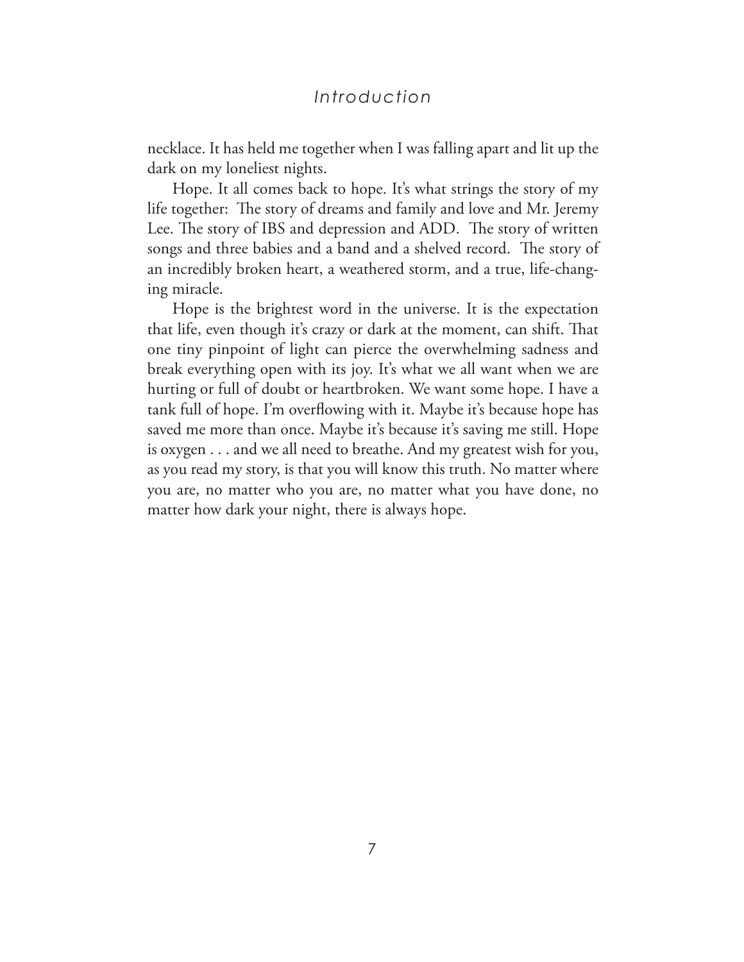#### *Introduction*

necklace. It has held me together when I was falling apart and lit up the dark on my loneliest nights.

Hope. It all comes back to hope. It's what strings the story of my life together: The story of dreams and family and love and Mr. Jeremy Lee. The story of IBS and depression and ADD. The story of written songs and three babies and a band and a shelved record. The story of an incredibly broken heart, a weathered storm, and a true, life-changing miracle.

Hope is the brightest word in the universe. It is the expectation that life, even though it's crazy or dark at the moment, can shift. That one tiny pinpoint of light can pierce the overwhelming sadness and break everything open with its joy. It's what we all want when we are hurting or full of doubt or heartbroken. We want some hope. I have a tank full of hope. I'm overfowing with it. Maybe it's because hope has saved me more than once. Maybe it's because it's saving me still. Hope is oxygen . . . and we all need to breathe. And my greatest wish for you, as you read my story, is that you will know this truth. No matter where you are, no matter who you are, no matter what you have done, no matter how dark your night, there is always hope.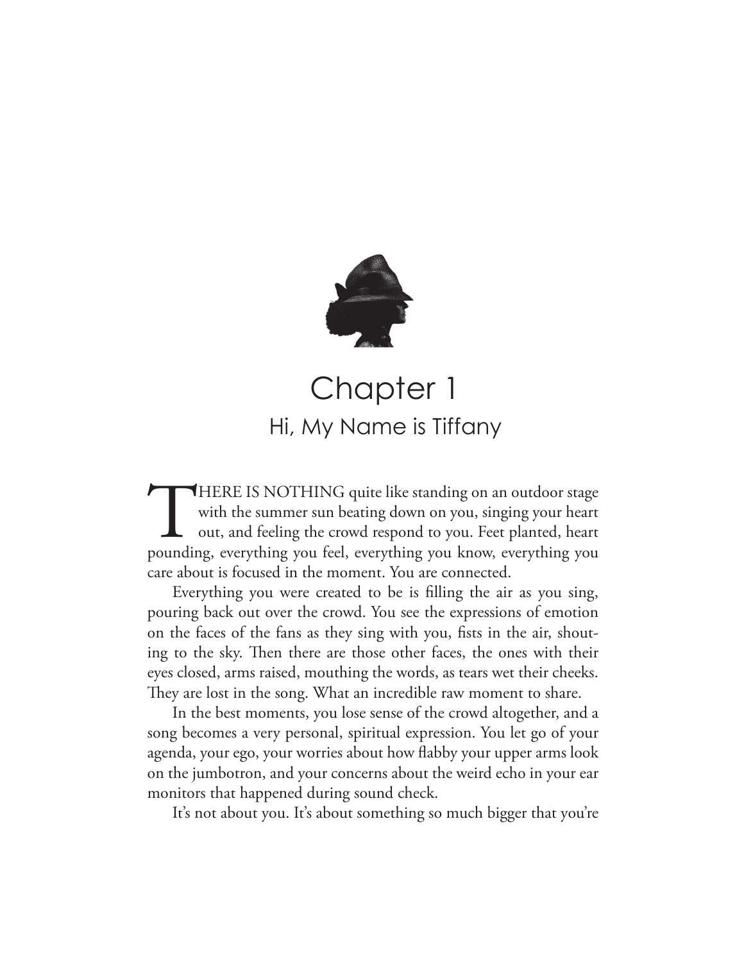

## Chapter 1 Hi, My Name is Tiffany

THERE IS NOTHING quite like standing on an outdoor stage<br>with the summer sun beating down on you, singing your heart<br>out, and feeling the crowd respond to you. Feet planted, heart<br>pounding, everything you feel, everything with the summer sun beating down on you, singing your heart out, and feeling the crowd respond to you. Feet planted, heart pounding, everything you feel, everything you know, everything you care about is focused in the moment. You are connected.

Everything you were created to be is flling the air as you sing, pouring back out over the crowd. You see the expressions of emotion on the faces of the fans as they sing with you, fsts in the air, shouting to the sky. Then there are those other faces, the ones with their eyes closed, arms raised, mouthing the words, as tears wet their cheeks. They are lost in the song. What an incredible raw moment to share.

In the best moments, you lose sense of the crowd altogether, and a song becomes a very personal, spiritual expression. You let go of your agenda, your ego, your worries about how fabby your upper arms look on the jumbotron, and your concerns about the weird echo in your ear monitors that happened during sound check.

It's not about you. It's about something so much bigger that you're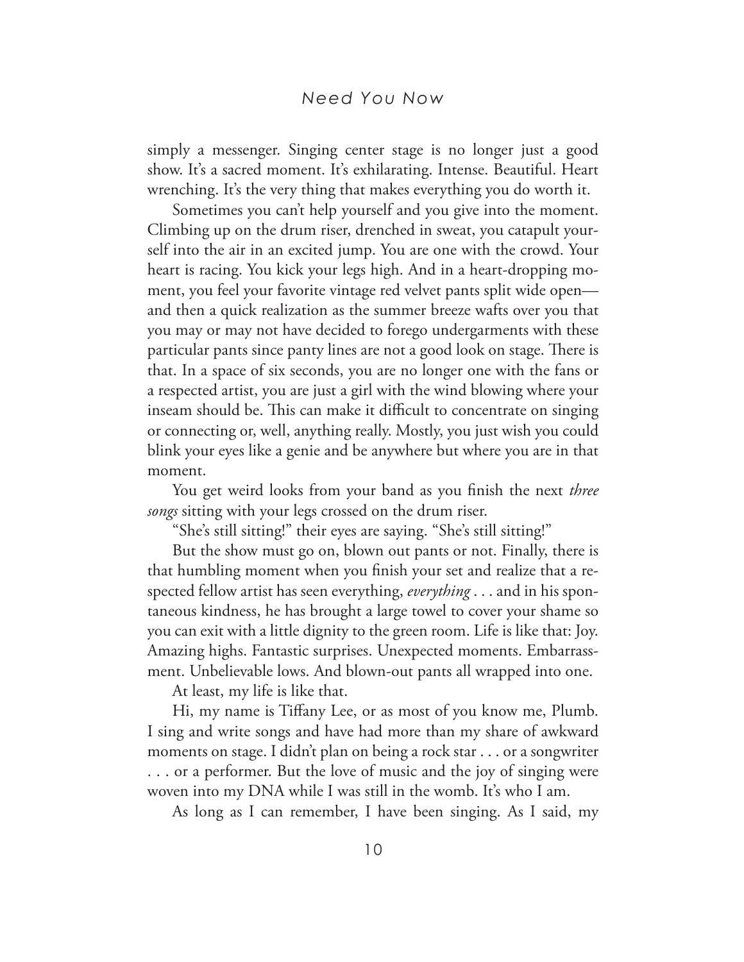simply a messenger. Singing center stage is no longer just a good show. It's a sacred moment. It's exhilarating. Intense. Beautiful. Heart wrenching. It's the very thing that makes everything you do worth it.

Sometimes you can't help yourself and you give into the moment. Climbing up on the drum riser, drenched in sweat, you catapult yourself into the air in an excited jump. You are one with the crowd. Your heart is racing. You kick your legs high. And in a heart-dropping moment, you feel your favorite vintage red velvet pants split wide open and then a quick realization as the summer breeze wafts over you that you may or may not have decided to forego undergarments with these particular pants since panty lines are not a good look on stage. There is that. In a space of six seconds, you are no longer one with the fans or a respected artist, you are just a girl with the wind blowing where your inseam should be. This can make it difficult to concentrate on singing or connecting or, well, anything really. Mostly, you just wish you could blink your eyes like a genie and be anywhere but where you are in that moment.

You get weird looks from your band as you fnish the next *three songs* sitting with your legs crossed on the drum riser.

"She's still sitting!" their eyes are saying. "She's still sitting!"

But the show must go on, blown out pants or not. Finally, there is that humbling moment when you fnish your set and realize that a respected fellow artist has seen everything, *everything* . . . and in his spontaneous kindness, he has brought a large towel to cover your shame so you can exit with a little dignity to the green room. Life is like that: Joy. Amazing highs. Fantastic surprises. Unexpected moments. Embarrassment. Unbelievable lows. And blown-out pants all wrapped into one.

At least, my life is like that.

Hi, my name is Tifany Lee, or as most of you know me, Plumb. I sing and write songs and have had more than my share of awkward moments on stage. I didn't plan on being a rock star . . . or a songwriter . . . or a performer. But the love of music and the joy of singing were woven into my DNA while I was still in the womb. It's who I am.

As long as I can remember, I have been singing. As I said, my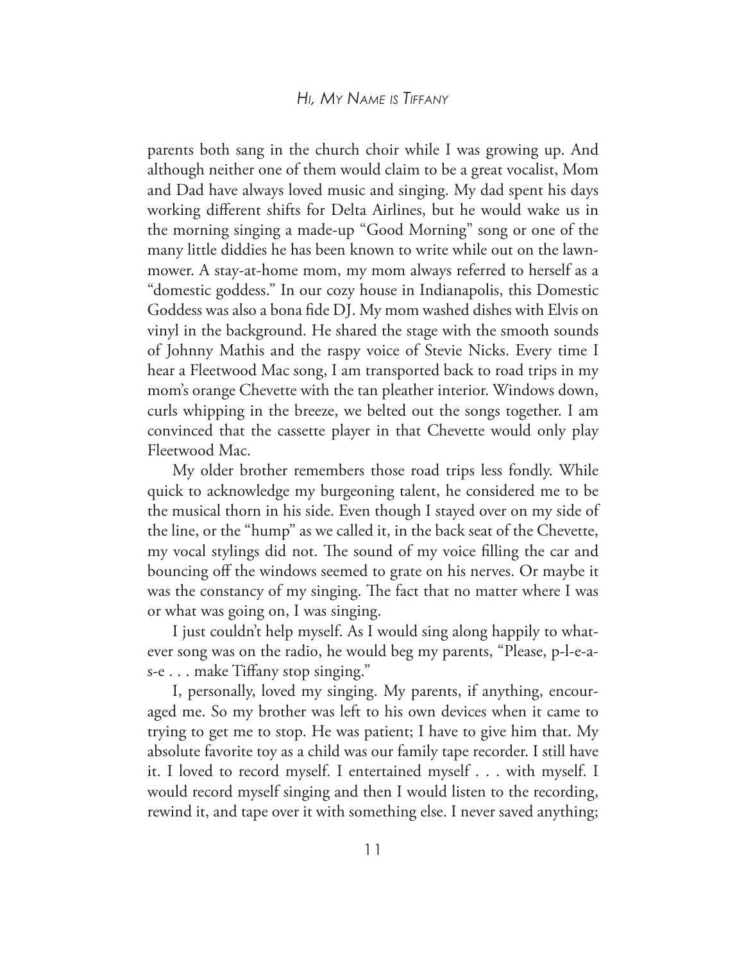#### *Hi, My NaMe is TiffaNy*

parents both sang in the church choir while I was growing up. And although neither one of them would claim to be a great vocalist, Mom and Dad have always loved music and singing. My dad spent his days working diferent shifts for Delta Airlines, but he would wake us in the morning singing a made-up "Good Morning" song or one of the many little diddies he has been known to write while out on the lawnmower. A stay-at-home mom, my mom always referred to herself as a "domestic goddess." In our cozy house in Indianapolis, this Domestic Goddess was also a bona fde DJ. My mom washed dishes with Elvis on vinyl in the background. He shared the stage with the smooth sounds of Johnny Mathis and the raspy voice of Stevie Nicks. Every time I hear a Fleetwood Mac song, I am transported back to road trips in my mom's orange Chevette with the tan pleather interior. Windows down, curls whipping in the breeze, we belted out the songs together. I am convinced that the cassette player in that Chevette would only play Fleetwood Mac.

My older brother remembers those road trips less fondly. While quick to acknowledge my burgeoning talent, he considered me to be the musical thorn in his side. Even though I stayed over on my side of the line, or the "hump" as we called it, in the back seat of the Chevette, my vocal stylings did not. The sound of my voice filling the car and bouncing off the windows seemed to grate on his nerves. Or maybe it was the constancy of my singing. The fact that no matter where I was or what was going on, I was singing.

I just couldn't help myself. As I would sing along happily to whatever song was on the radio, he would beg my parents, "Please, p-l-e-as-e . . . make Tifany stop singing."

I, personally, loved my singing. My parents, if anything, encouraged me. So my brother was left to his own devices when it came to trying to get me to stop. He was patient; I have to give him that. My absolute favorite toy as a child was our family tape recorder. I still have it. I loved to record myself. I entertained myself . . . with myself. I would record myself singing and then I would listen to the recording, rewind it, and tape over it with something else. I never saved anything;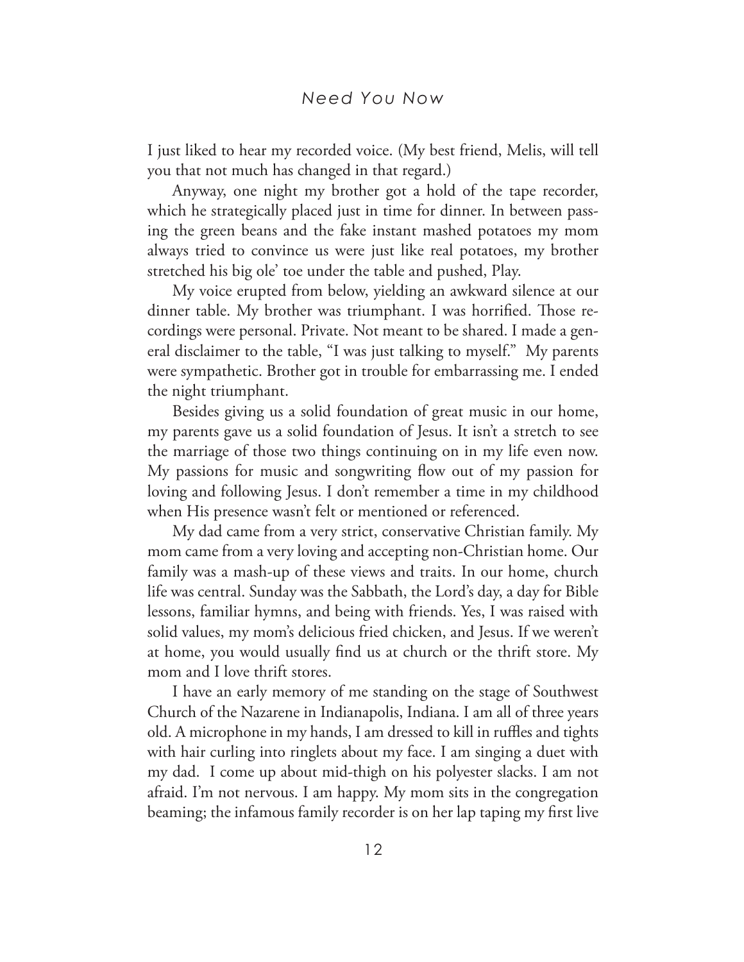I just liked to hear my recorded voice. (My best friend, Melis, will tell you that not much has changed in that regard.)

Anyway, one night my brother got a hold of the tape recorder, which he strategically placed just in time for dinner. In between passing the green beans and the fake instant mashed potatoes my mom always tried to convince us were just like real potatoes, my brother stretched his big ole' toe under the table and pushed, Play.

My voice erupted from below, yielding an awkward silence at our dinner table. My brother was triumphant. I was horrified. Those recordings were personal. Private. Not meant to be shared. I made a general disclaimer to the table, "I was just talking to myself." My parents were sympathetic. Brother got in trouble for embarrassing me. I ended the night triumphant.

Besides giving us a solid foundation of great music in our home, my parents gave us a solid foundation of Jesus. It isn't a stretch to see the marriage of those two things continuing on in my life even now. My passions for music and songwriting flow out of my passion for loving and following Jesus. I don't remember a time in my childhood when His presence wasn't felt or mentioned or referenced.

My dad came from a very strict, conservative Christian family. My mom came from a very loving and accepting non-Christian home. Our family was a mash-up of these views and traits. In our home, church life was central. Sunday was the Sabbath, the Lord's day, a day for Bible lessons, familiar hymns, and being with friends. Yes, I was raised with solid values, my mom's delicious fried chicken, and Jesus. If we weren't at home, you would usually fnd us at church or the thrift store. My mom and I love thrift stores.

I have an early memory of me standing on the stage of Southwest Church of the Nazarene in Indianapolis, Indiana. I am all of three years old. A microphone in my hands, I am dressed to kill in ruffles and tights with hair curling into ringlets about my face. I am singing a duet with my dad. I come up about mid-thigh on his polyester slacks. I am not afraid. I'm not nervous. I am happy. My mom sits in the congregation beaming; the infamous family recorder is on her lap taping my frst live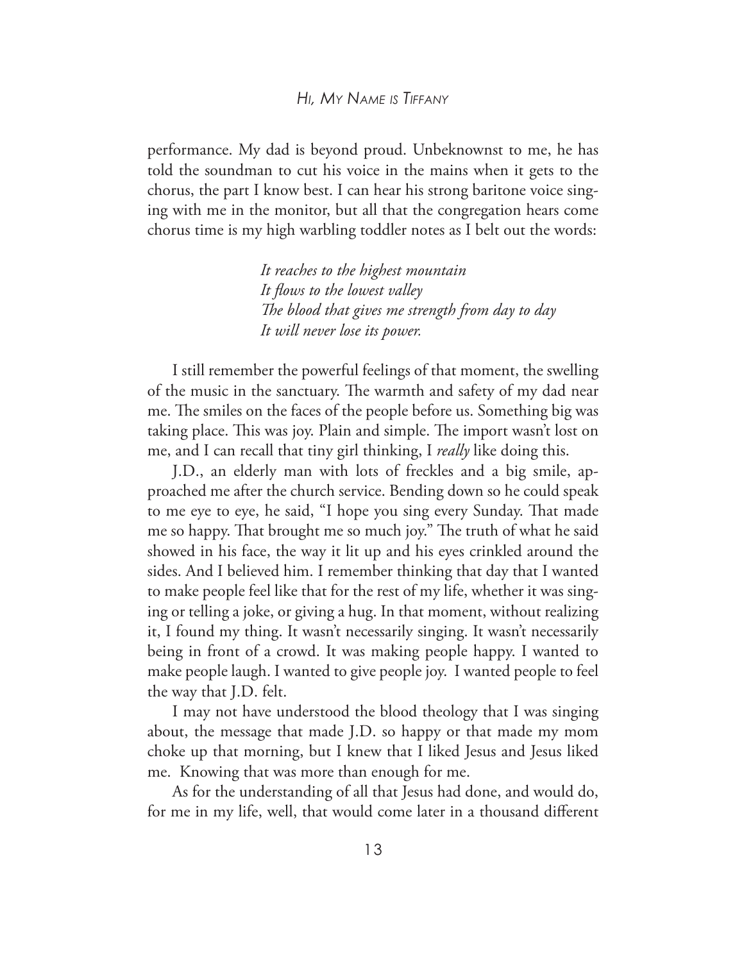#### *Hi, My NaMe is TiffaNy*

performance. My dad is beyond proud. Unbeknownst to me, he has told the soundman to cut his voice in the mains when it gets to the chorus, the part I know best. I can hear his strong baritone voice singing with me in the monitor, but all that the congregation hears come chorus time is my high warbling toddler notes as I belt out the words:

> *It reaches to the highest mountain It fows to the lowest valley Te blood that gives me strength from day to day It will never lose its power.*

I still remember the powerful feelings of that moment, the swelling of the music in the sanctuary. The warmth and safety of my dad near me. The smiles on the faces of the people before us. Something big was taking place. This was joy. Plain and simple. The import wasn't lost on me, and I can recall that tiny girl thinking, I *really* like doing this.

J.D., an elderly man with lots of freckles and a big smile, approached me after the church service. Bending down so he could speak to me eye to eye, he said, "I hope you sing every Sunday. That made me so happy. That brought me so much joy." The truth of what he said showed in his face, the way it lit up and his eyes crinkled around the sides. And I believed him. I remember thinking that day that I wanted to make people feel like that for the rest of my life, whether it was singing or telling a joke, or giving a hug. In that moment, without realizing it, I found my thing. It wasn't necessarily singing. It wasn't necessarily being in front of a crowd. It was making people happy. I wanted to make people laugh. I wanted to give people joy. I wanted people to feel the way that J.D. felt.

I may not have understood the blood theology that I was singing about, the message that made J.D. so happy or that made my mom choke up that morning, but I knew that I liked Jesus and Jesus liked me. Knowing that was more than enough for me.

As for the understanding of all that Jesus had done, and would do, for me in my life, well, that would come later in a thousand diferent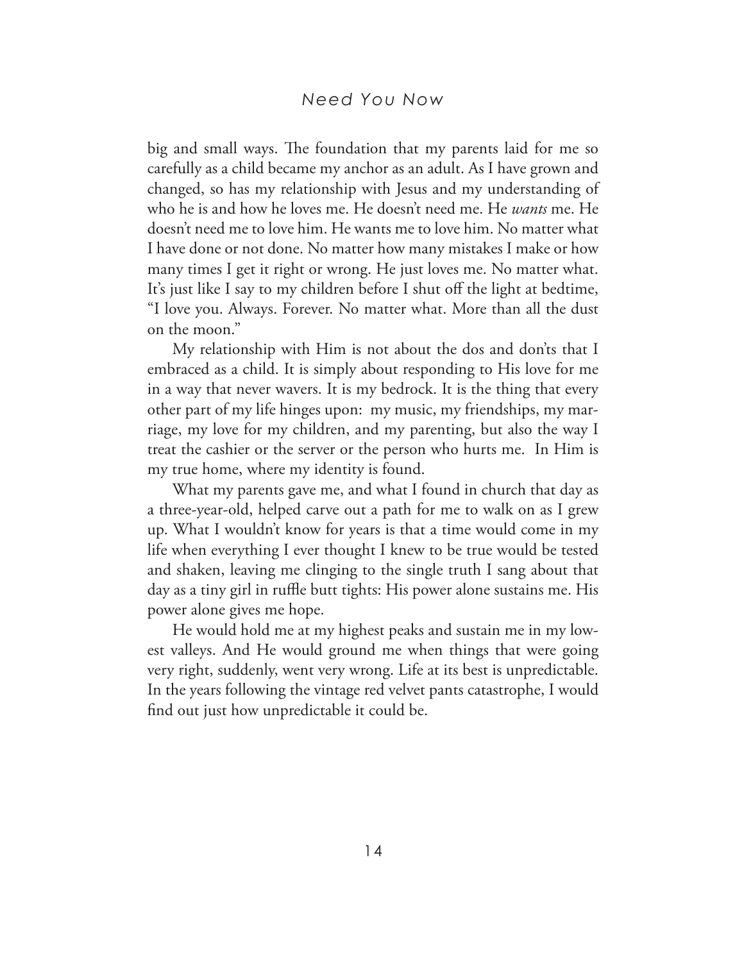#### *Need You Now*

big and small ways. The foundation that my parents laid for me so carefully as a child became my anchor as an adult. As I have grown and changed, so has my relationship with Jesus and my understanding of who he is and how he loves me. He doesn't need me. He *wants* me. He doesn't need me to love him. He wants me to love him. No matter what I have done or not done. No matter how many mistakes I make or how many times I get it right or wrong. He just loves me. No matter what. It's just like I say to my children before I shut off the light at bedtime, "I love you. Always. Forever. No matter what. More than all the dust on the moon."

My relationship with Him is not about the dos and don'ts that I embraced as a child. It is simply about responding to His love for me in a way that never wavers. It is my bedrock. It is the thing that every other part of my life hinges upon: my music, my friendships, my marriage, my love for my children, and my parenting, but also the way I treat the cashier or the server or the person who hurts me. In Him is my true home, where my identity is found.

What my parents gave me, and what I found in church that day as a three-year-old, helped carve out a path for me to walk on as I grew up. What I wouldn't know for years is that a time would come in my life when everything I ever thought I knew to be true would be tested and shaken, leaving me clinging to the single truth I sang about that day as a tiny girl in ruffle butt tights: His power alone sustains me. His power alone gives me hope.

He would hold me at my highest peaks and sustain me in my lowest valleys. And He would ground me when things that were going very right, suddenly, went very wrong. Life at its best is unpredictable. In the years following the vintage red velvet pants catastrophe, I would fnd out just how unpredictable it could be.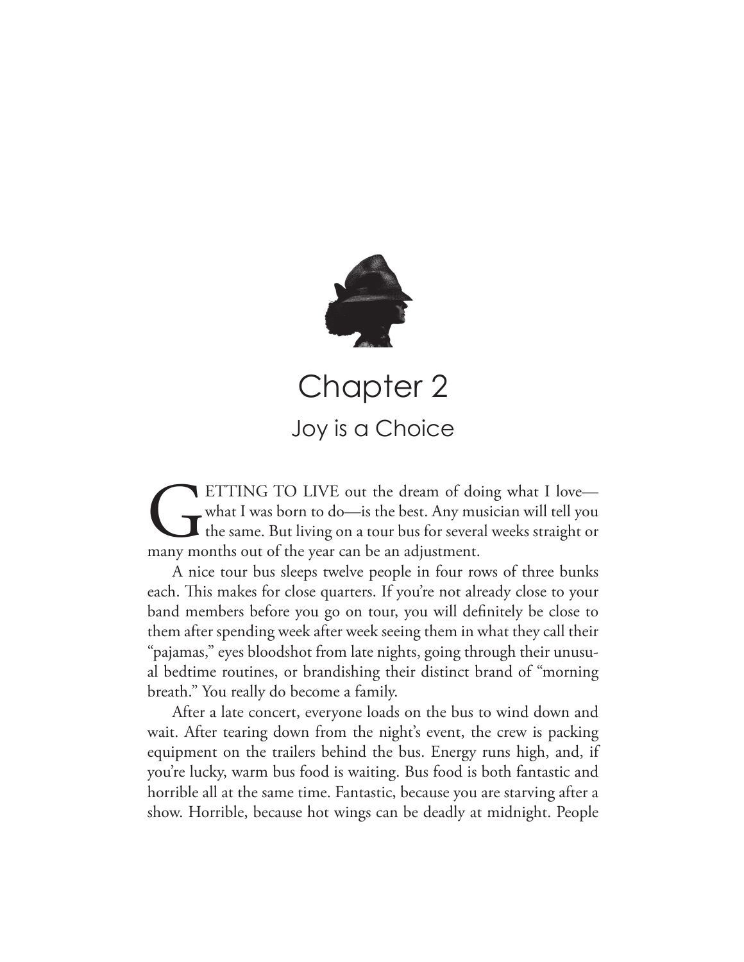

Chapter 2 Joy is a Choice

ETTING TO LIVE out the dream of doing what I love—<br>what I was born to do—is the best. Any musician will tell you<br>the same. But living on a tour bus for several weeks straight or<br>many months out of the year can be an adjust what I was born to do—is the best. Any musician will tell you the same. But living on a tour bus for several weeks straight or many months out of the year can be an adjustment.

A nice tour bus sleeps twelve people in four rows of three bunks each. This makes for close quarters. If you're not already close to your band members before you go on tour, you will defnitely be close to them after spending week after week seeing them in what they call their "pajamas," eyes bloodshot from late nights, going through their unusual bedtime routines, or brandishing their distinct brand of "morning breath." You really do become a family.

After a late concert, everyone loads on the bus to wind down and wait. After tearing down from the night's event, the crew is packing equipment on the trailers behind the bus. Energy runs high, and, if you're lucky, warm bus food is waiting. Bus food is both fantastic and horrible all at the same time. Fantastic, because you are starving after a show. Horrible, because hot wings can be deadly at midnight. People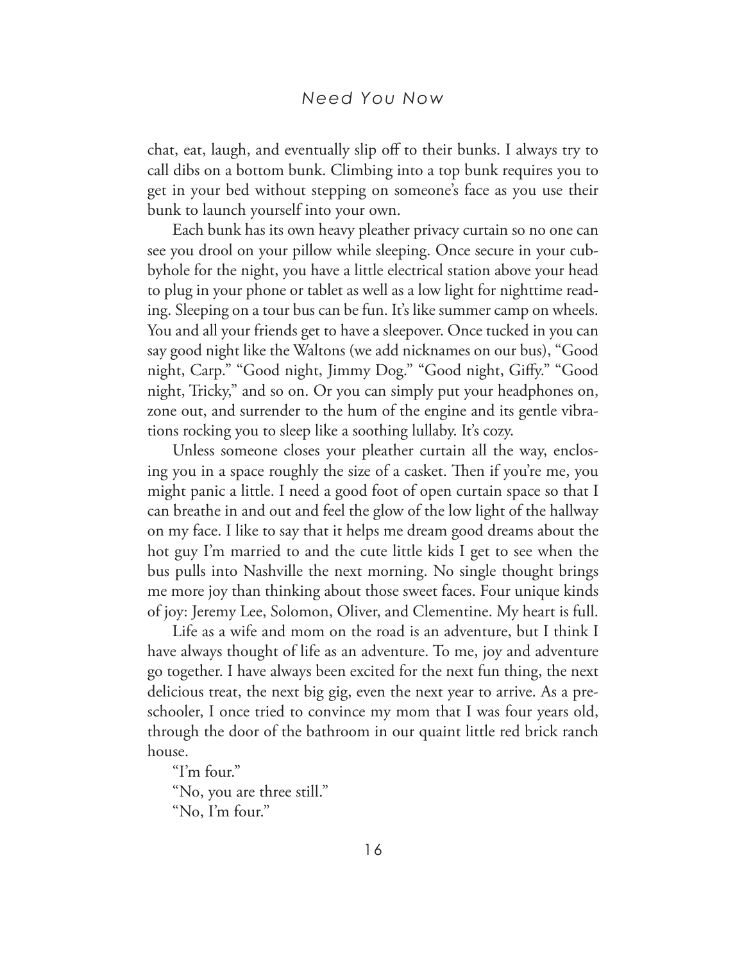chat, eat, laugh, and eventually slip off to their bunks. I always try to call dibs on a bottom bunk. Climbing into a top bunk requires you to get in your bed without stepping on someone's face as you use their bunk to launch yourself into your own.

Each bunk has its own heavy pleather privacy curtain so no one can see you drool on your pillow while sleeping. Once secure in your cubbyhole for the night, you have a little electrical station above your head to plug in your phone or tablet as well as a low light for nighttime reading. Sleeping on a tour bus can be fun. It's like summer camp on wheels. You and all your friends get to have a sleepover. Once tucked in you can say good night like the Waltons (we add nicknames on our bus), "Good night, Carp." "Good night, Jimmy Dog." "Good night, Gify." "Good night, Tricky," and so on. Or you can simply put your headphones on, zone out, and surrender to the hum of the engine and its gentle vibrations rocking you to sleep like a soothing lullaby. It's cozy.

Unless someone closes your pleather curtain all the way, enclosing you in a space roughly the size of a casket. Then if you're me, you might panic a little. I need a good foot of open curtain space so that I can breathe in and out and feel the glow of the low light of the hallway on my face. I like to say that it helps me dream good dreams about the hot guy I'm married to and the cute little kids I get to see when the bus pulls into Nashville the next morning. No single thought brings me more joy than thinking about those sweet faces. Four unique kinds of joy: Jeremy Lee, Solomon, Oliver, and Clementine. My heart is full.

Life as a wife and mom on the road is an adventure, but I think I have always thought of life as an adventure. To me, joy and adventure go together. I have always been excited for the next fun thing, the next delicious treat, the next big gig, even the next year to arrive. As a preschooler, I once tried to convince my mom that I was four years old, through the door of the bathroom in our quaint little red brick ranch house.

"I'm four."

"No, you are three still." "No, I'm four."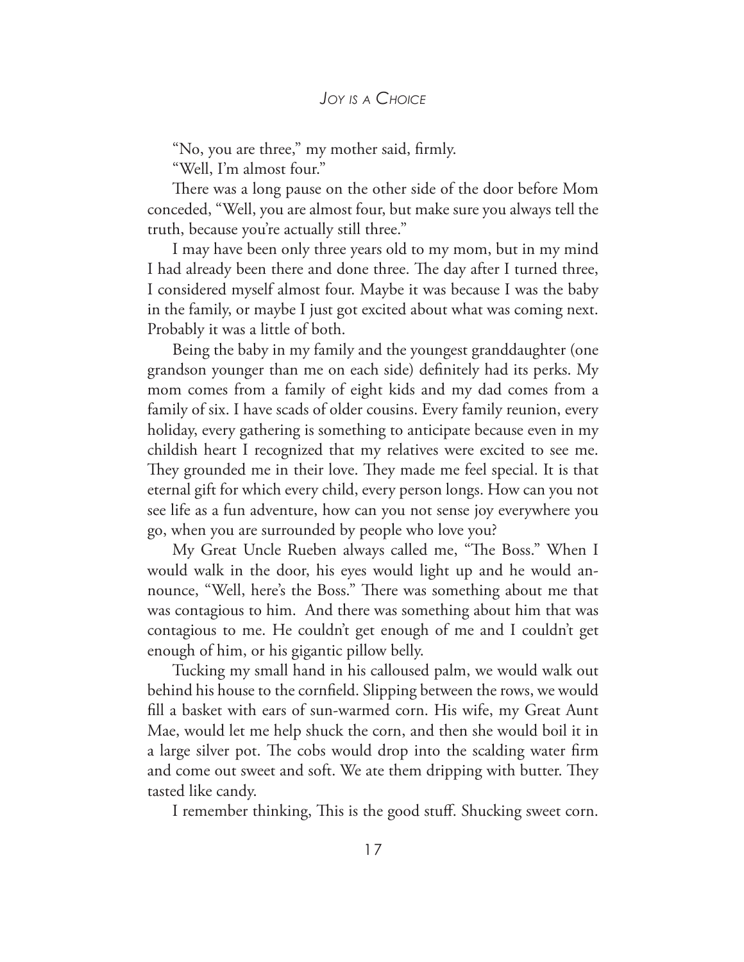"No, you are three," my mother said, frmly.

"Well, I'm almost four."

There was a long pause on the other side of the door before Mom conceded, "Well, you are almost four, but make sure you always tell the truth, because you're actually still three."

I may have been only three years old to my mom, but in my mind I had already been there and done three. The day after I turned three, I considered myself almost four. Maybe it was because I was the baby in the family, or maybe I just got excited about what was coming next. Probably it was a little of both.

Being the baby in my family and the youngest granddaughter (one grandson younger than me on each side) defnitely had its perks. My mom comes from a family of eight kids and my dad comes from a family of six. I have scads of older cousins. Every family reunion, every holiday, every gathering is something to anticipate because even in my childish heart I recognized that my relatives were excited to see me. They grounded me in their love. They made me feel special. It is that eternal gift for which every child, every person longs. How can you not see life as a fun adventure, how can you not sense joy everywhere you go, when you are surrounded by people who love you?

My Great Uncle Rueben always called me, "The Boss." When I would walk in the door, his eyes would light up and he would announce, "Well, here's the Boss." There was something about me that was contagious to him. And there was something about him that was contagious to me. He couldn't get enough of me and I couldn't get enough of him, or his gigantic pillow belly.

Tucking my small hand in his calloused palm, we would walk out behind his house to the cornfeld. Slipping between the rows, we would fll a basket with ears of sun-warmed corn. His wife, my Great Aunt Mae, would let me help shuck the corn, and then she would boil it in a large silver pot. The cobs would drop into the scalding water firm and come out sweet and soft. We ate them dripping with butter. They tasted like candy.

I remember thinking, This is the good stuff. Shucking sweet corn.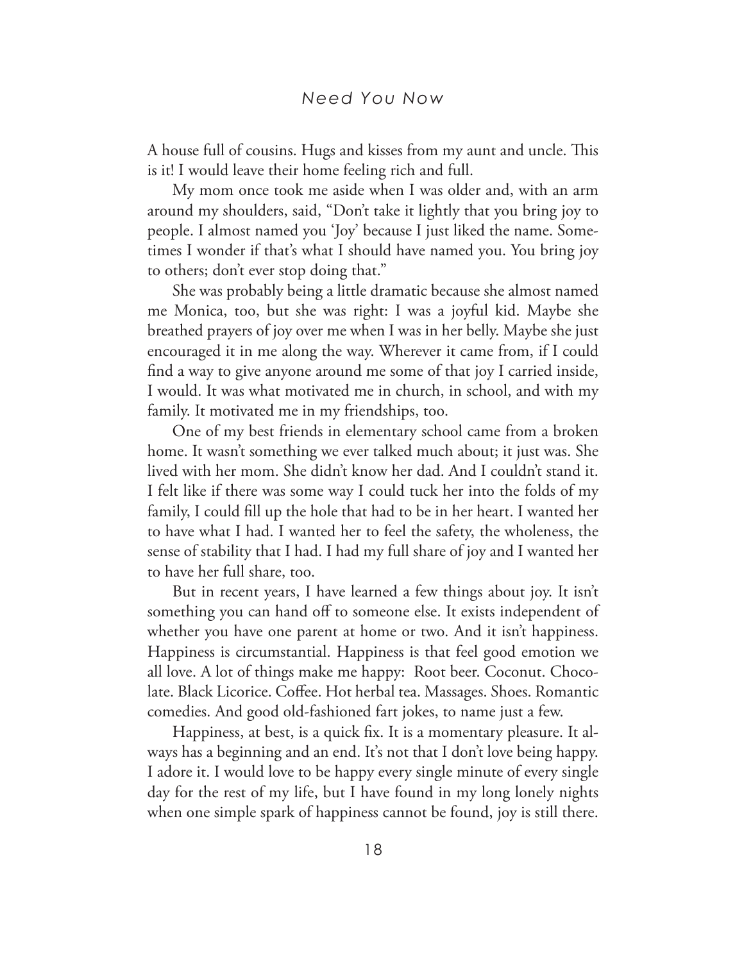A house full of cousins. Hugs and kisses from my aunt and uncle. This is it! I would leave their home feeling rich and full.

My mom once took me aside when I was older and, with an arm around my shoulders, said, "Don't take it lightly that you bring joy to people. I almost named you 'Joy' because I just liked the name. Sometimes I wonder if that's what I should have named you. You bring joy to others; don't ever stop doing that."

She was probably being a little dramatic because she almost named me Monica, too, but she was right: I was a joyful kid. Maybe she breathed prayers of joy over me when I was in her belly. Maybe she just encouraged it in me along the way. Wherever it came from, if I could fnd a way to give anyone around me some of that joy I carried inside, I would. It was what motivated me in church, in school, and with my family. It motivated me in my friendships, too.

One of my best friends in elementary school came from a broken home. It wasn't something we ever talked much about; it just was. She lived with her mom. She didn't know her dad. And I couldn't stand it. I felt like if there was some way I could tuck her into the folds of my family, I could fll up the hole that had to be in her heart. I wanted her to have what I had. I wanted her to feel the safety, the wholeness, the sense of stability that I had. I had my full share of joy and I wanted her to have her full share, too.

But in recent years, I have learned a few things about joy. It isn't something you can hand off to someone else. It exists independent of whether you have one parent at home or two. And it isn't happiness. Happiness is circumstantial. Happiness is that feel good emotion we all love. A lot of things make me happy: Root beer. Coconut. Chocolate. Black Licorice. Coffee. Hot herbal tea. Massages. Shoes. Romantic comedies. And good old-fashioned fart jokes, to name just a few.

Happiness, at best, is a quick fx. It is a momentary pleasure. It always has a beginning and an end. It's not that I don't love being happy. I adore it. I would love to be happy every single minute of every single day for the rest of my life, but I have found in my long lonely nights when one simple spark of happiness cannot be found, joy is still there.